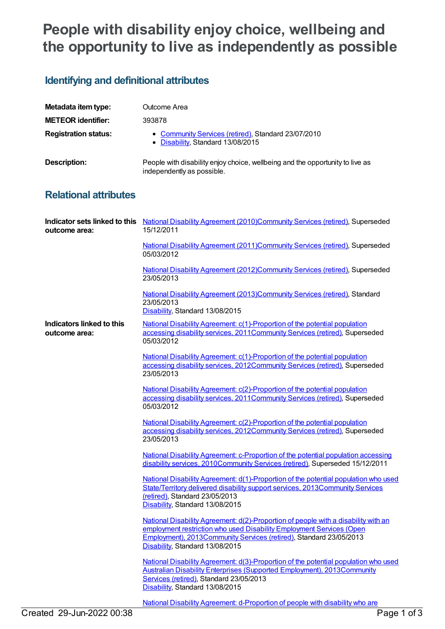## **People with disability enjoy choice, wellbeing and the opportunity to live as independently as possible**

## **Identifying and definitional attributes**

| Metadata item type:         | Outcome Area                                                                                                |
|-----------------------------|-------------------------------------------------------------------------------------------------------------|
| <b>METEOR identifier:</b>   | 393878                                                                                                      |
| <b>Registration status:</b> | • Community Services (retired), Standard 23/07/2010<br>• Disability, Standard 13/08/2015                    |
| Description:                | People with disability enjoy choice, wellbeing and the opportunity to live as<br>independently as possible. |

## **Relational attributes**

| outcome area:                              | Indicator sets linked to this National Disability Agreement (2010)Community Services (retired), Superseded<br>15/12/2011                                                                                                                                            |
|--------------------------------------------|---------------------------------------------------------------------------------------------------------------------------------------------------------------------------------------------------------------------------------------------------------------------|
|                                            | National Disability Agreement (2011) Community Services (retired), Superseded<br>05/03/2012                                                                                                                                                                         |
|                                            | National Disability Agreement (2012) Community Services (retired), Superseded<br>23/05/2013                                                                                                                                                                         |
|                                            | National Disability Agreement (2013)Community Services (retired), Standard<br>23/05/2013<br>Disability, Standard 13/08/2015                                                                                                                                         |
| Indicators linked to this<br>outcome area: | National Disability Agreement: c(1)-Proportion of the potential population<br>accessing disability services, 2011Community Services (retired), Superseded<br>05/03/2012                                                                                             |
|                                            | National Disability Agreement: c(1)-Proportion of the potential population<br>accessing disability services, 2012Community Services (retired), Superseded<br>23/05/2013                                                                                             |
|                                            | National Disability Agreement: c(2)-Proportion of the potential population<br>accessing disability services, 2011 Community Services (retired), Superseded<br>05/03/2012                                                                                            |
|                                            | National Disability Agreement: c(2)-Proportion of the potential population<br>accessing disability services, 2012Community Services (retired), Superseded<br>23/05/2013                                                                                             |
|                                            | National Disability Agreement: c-Proportion of the potential population accessing<br>disability services, 2010Community Services (retired), Superseded 15/12/2011                                                                                                   |
|                                            | National Disability Agreement: d(1)-Proportion of the potential population who used<br>State/Territory delivered disability support services, 2013Community Services<br>(retired), Standard 23/05/2013<br>Disability, Standard 13/08/2015                           |
|                                            | National Disability Agreement: d(2)-Proportion of people with a disability with an<br>employment restriction who used Disability Employment Services (Open<br>Employment), 2013Community Services (retired), Standard 23/05/2013<br>Disability, Standard 13/08/2015 |
|                                            | <u>National Disability Agreement: d(3)-Proportion of the potential population who used</u><br><b>Australian Disability Enterprises (Supported Employment), 2013Community</b><br>Services (retired), Standard 23/05/2013<br>Disability, Standard 13/08/2015          |
|                                            | National Disability Agreement: d-Proportion of people with disability who are                                                                                                                                                                                       |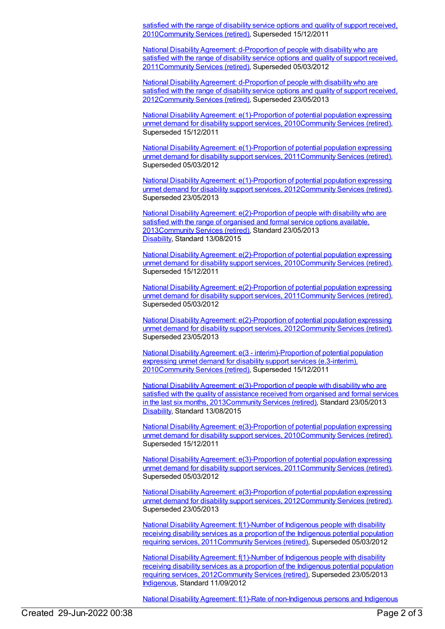satisfied with the range of disability service options and quality of support received, [2010Community](https://meteor.aihw.gov.au/content/393919) Services (retired), Superseded 15/12/2011

National Disability Agreement: d-Proportion of people with disability who are satisfied with the range of disability service options and quality of support received, [2011Community](https://meteor.aihw.gov.au/content/428742) Services (retired), Superseded 05/03/2012

National Disability Agreement: d-Proportion of people with disability who are satisfied with the range of disability service options and quality of support received, [2012](https://meteor.aihw.gov.au/content/467934)[Community](https://meteor.aihw.gov.au/RegistrationAuthority/1) Services (retired), Superseded 23/05/2013

National Disability Agreement: [e\(1\)-Proportion](https://meteor.aihw.gov.au/content/393927) of potential population expressing unmet demand for disability support services, 201[0Community](https://meteor.aihw.gov.au/RegistrationAuthority/1) Services (retired), Superseded 15/12/2011

National Disability Agreement: [e\(1\)-Proportion](https://meteor.aihw.gov.au/content/428745) of potential population expressing unmet demand for disability support services, 201[1Community](https://meteor.aihw.gov.au/RegistrationAuthority/1) Services (retired), Superseded 05/03/2012

National Disability Agreement: [e\(1\)-Proportion](https://meteor.aihw.gov.au/content/467936) of potential population expressing unmet demand for disability support services, 201[2Community](https://meteor.aihw.gov.au/RegistrationAuthority/1) Services (retired), Superseded 23/05/2013

National Disability Agreement: [e\(2\)-Proportion](https://meteor.aihw.gov.au/content/491945) of people with disability who are satisfied with the range of organised and formal service options available, 201[3Community](https://meteor.aihw.gov.au/RegistrationAuthority/1) Services (retired), Standard 23/05/2013 [Disability](https://meteor.aihw.gov.au/RegistrationAuthority/16), Standard 13/08/2015

National Disability Agreement: [e\(2\)-Proportion](https://meteor.aihw.gov.au/content/393948) of potential population expressing unmet demand for disability support services, 201[0Community](https://meteor.aihw.gov.au/RegistrationAuthority/1) Services (retired), Superseded 15/12/2011

National Disability Agreement: [e\(2\)-Proportion](https://meteor.aihw.gov.au/content/428747) of potential population expressing unmet demand for disability support services, 201[1Community](https://meteor.aihw.gov.au/RegistrationAuthority/1) Services (retired), Superseded 05/03/2012

National Disability Agreement: [e\(2\)-Proportion](https://meteor.aihw.gov.au/content/467938) of potential population expressing unmet demand for disability support services, 201[2Community](https://meteor.aihw.gov.au/RegistrationAuthority/1) Services (retired), Superseded 23/05/2013

National Disability Agreement: e(3 - [interim\)-Proportion](https://meteor.aihw.gov.au/content/393968) of potential population expressing unmet demand for disability support services (e.3-interim), 201[0Community](https://meteor.aihw.gov.au/RegistrationAuthority/1) Services (retired), Superseded 15/12/2011

National Disability Agreement: [e\(3\)-Proportion](https://meteor.aihw.gov.au/content/491947) of people with disability who are satisfied with the quality of assistance received from organised and formal services in the last six months, 201[3Community](https://meteor.aihw.gov.au/RegistrationAuthority/1) Services (retired), Standard 23/05/2013 [Disability](https://meteor.aihw.gov.au/RegistrationAuthority/16), Standard 13/08/2015

National Disability Agreement: [e\(3\)-Proportion](https://meteor.aihw.gov.au/content/393953) of potential population expressing unmet demand for disability support services, 201[0Community](https://meteor.aihw.gov.au/RegistrationAuthority/1) Services (retired), Superseded 15/12/2011

National Disability Agreement: [e\(3\)-Proportion](https://meteor.aihw.gov.au/content/428751) of potential population expressing unmet demand for disability support services, 201[1Community](https://meteor.aihw.gov.au/RegistrationAuthority/1) Services (retired), Superseded 05/03/2012

National Disability Agreement: [e\(3\)-Proportion](https://meteor.aihw.gov.au/content/467941) of potential population expressing unmet demand for disability support services, 201[2Community](https://meteor.aihw.gov.au/RegistrationAuthority/1) Services (retired), Superseded 23/05/2013

National Disability Agreement: f(1)-Number of Indigenous people with disability receiving disability services as a proportion of the Indigenous potential population requiring services, [2011Community](https://meteor.aihw.gov.au/content/428753) Services (retired), Superseded 05/03/2012

National Disability Agreement: f(1)-Number of Indigenous people with disability receiving disability services as a proportion of the Indigenous potential population requiring services, [2012](https://meteor.aihw.gov.au/content/467943)[Community](https://meteor.aihw.gov.au/RegistrationAuthority/1) Services (retired), Superseded 23/05/2013 [Indigenous](https://meteor.aihw.gov.au/RegistrationAuthority/6), Standard 11/09/2012

National Disability Agreement: f(1)-Rate of [non-Indigenous](https://meteor.aihw.gov.au/content/491949) persons and Indigenous